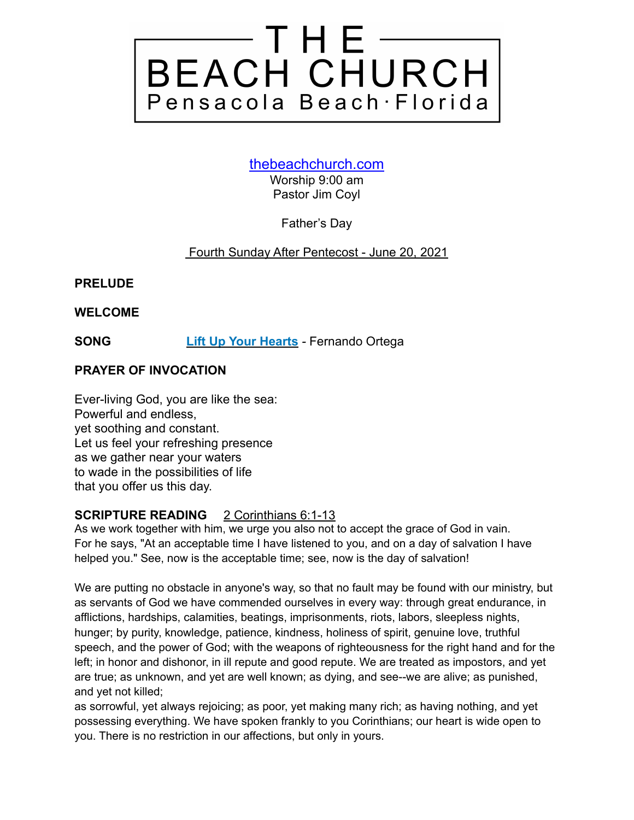

#### [thebeachchurch.com](http://thebeachchurch.com)

Worship 9:00 am Pastor Jim Coyl

Father's Day

#### Fourth Sunday After Pentecost - June 20, 2021

**PRELUDE**

**WELCOME**

**SONG [Lift Up Your Hearts](https://youtu.be/XC1Z4sA5pTw)** *-* Fernando Ortega

#### **PRAYER OF INVOCATION**

Ever-living God, you are like the sea: Powerful and endless, yet soothing and constant. Let us feel your refreshing presence as we gather near your waters to wade in the possibilities of life that you offer us this day.

#### **SCRIPTURE READING** 2 Corinthians 6:1-13

As we work together with him, we urge you also not to accept the grace of God in vain. For he says, "At an acceptable time I have listened to you, and on a day of salvation I have helped you." See, now is the acceptable time; see, now is the day of salvation!

We are putting no obstacle in anyone's way, so that no fault may be found with our ministry, but as servants of God we have commended ourselves in every way: through great endurance, in afflictions, hardships, calamities, beatings, imprisonments, riots, labors, sleepless nights, hunger; by purity, knowledge, patience, kindness, holiness of spirit, genuine love, truthful speech, and the power of God; with the weapons of righteousness for the right hand and for the left; in honor and dishonor, in ill repute and good repute. We are treated as impostors, and yet are true; as unknown, and yet are well known; as dying, and see--we are alive; as punished, and yet not killed;

as sorrowful, yet always rejoicing; as poor, yet making many rich; as having nothing, and yet possessing everything. We have spoken frankly to you Corinthians; our heart is wide open to you. There is no restriction in our affections, but only in yours.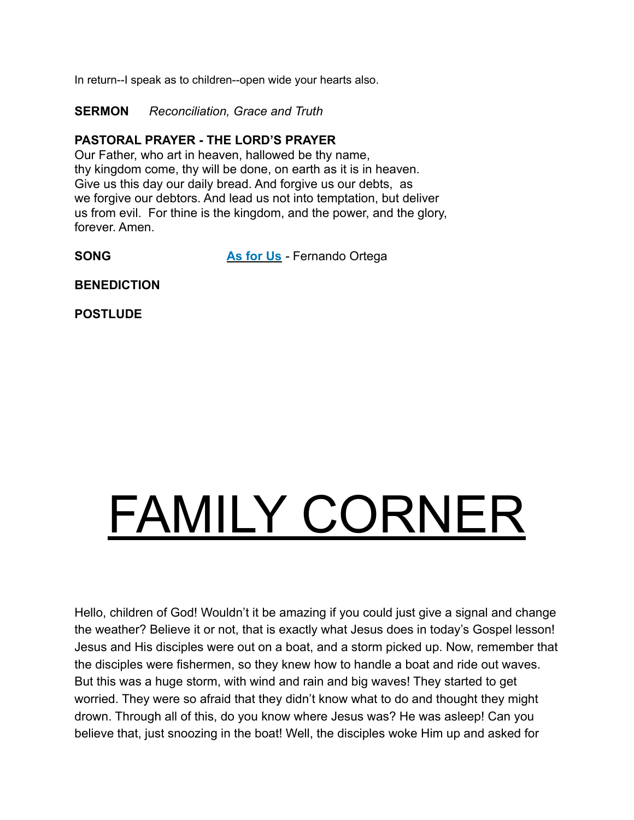In return--I speak as to children--open wide your hearts also.

**SERMON** *Reconciliation, Grace and Truth*

#### **PASTORAL PRAYER - THE LORD'S PRAYER**

Our Father, who art in heaven, hallowed be thy name, thy kingdom come, thy will be done, on earth as it is in heaven. Give us this day our daily bread. And forgive us our debts, as we forgive our debtors. And lead us not into temptation, but deliver us from evil. For thine is the kingdom, and the power, and the glory, forever. Amen.

**SONG [As for Us](https://youtu.be/l7Y_K1mp89w)** - **Fernando Ortega** 

**BENEDICTION**

**POSTLUDE**

# FAMILY CORNER

Hello, children of God! Wouldn't it be amazing if you could just give a signal and change the weather? Believe it or not, that is exactly what Jesus does in today's Gospel lesson! Jesus and His disciples were out on a boat, and a storm picked up. Now, remember that the disciples were fishermen, so they knew how to handle a boat and ride out waves. But this was a huge storm, with wind and rain and big waves! They started to get worried. They were so afraid that they didn't know what to do and thought they might drown. Through all of this, do you know where Jesus was? He was asleep! Can you believe that, just snoozing in the boat! Well, the disciples woke Him up and asked for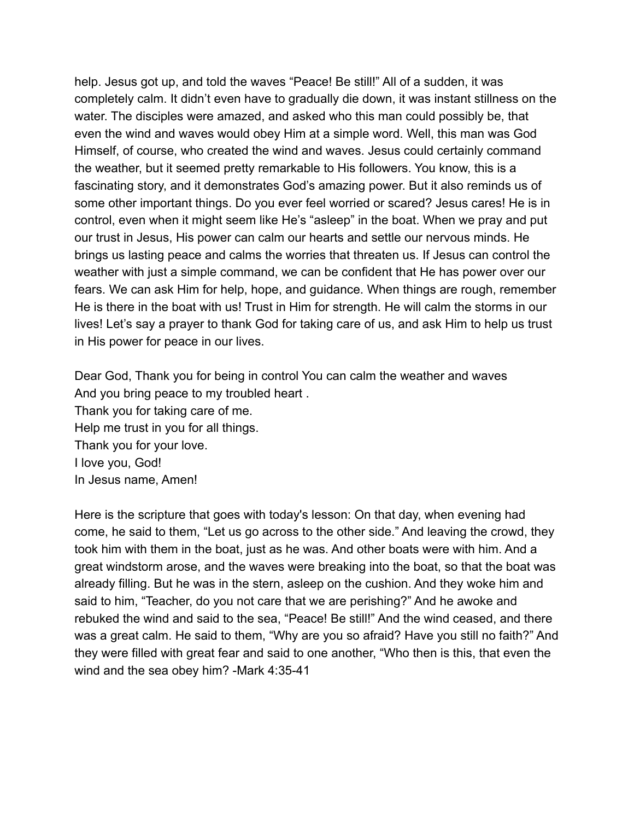help. Jesus got up, and told the waves "Peace! Be still!" All of a sudden, it was completely calm. It didn't even have to gradually die down, it was instant stillness on the water. The disciples were amazed, and asked who this man could possibly be, that even the wind and waves would obey Him at a simple word. Well, this man was God Himself, of course, who created the wind and waves. Jesus could certainly command the weather, but it seemed pretty remarkable to His followers. You know, this is a fascinating story, and it demonstrates God's amazing power. But it also reminds us of some other important things. Do you ever feel worried or scared? Jesus cares! He is in control, even when it might seem like He's "asleep" in the boat. When we pray and put our trust in Jesus, His power can calm our hearts and settle our nervous minds. He brings us lasting peace and calms the worries that threaten us. If Jesus can control the weather with just a simple command, we can be confident that He has power over our fears. We can ask Him for help, hope, and guidance. When things are rough, remember He is there in the boat with us! Trust in Him for strength. He will calm the storms in our lives! Let's say a prayer to thank God for taking care of us, and ask Him to help us trust in His power for peace in our lives.

Dear God, Thank you for being in control You can calm the weather and waves And you bring peace to my troubled heart . Thank you for taking care of me. Help me trust in you for all things. Thank you for your love. I love you, God! In Jesus name, Amen!

Here is the scripture that goes with today's lesson: On that day, when evening had come, he said to them, "Let us go across to the other side." And leaving the crowd, they took him with them in the boat, just as he was. And other boats were with him. And a great windstorm arose, and the waves were breaking into the boat, so that the boat was already filling. But he was in the stern, asleep on the cushion. And they woke him and said to him, "Teacher, do you not care that we are perishing?" And he awoke and rebuked the wind and said to the sea, "Peace! Be still!" And the wind ceased, and there was a great calm. He said to them, "Why are you so afraid? Have you still no faith?" And they were filled with great fear and said to one another, "Who then is this, that even the wind and the sea obey him? -Mark 4:35-41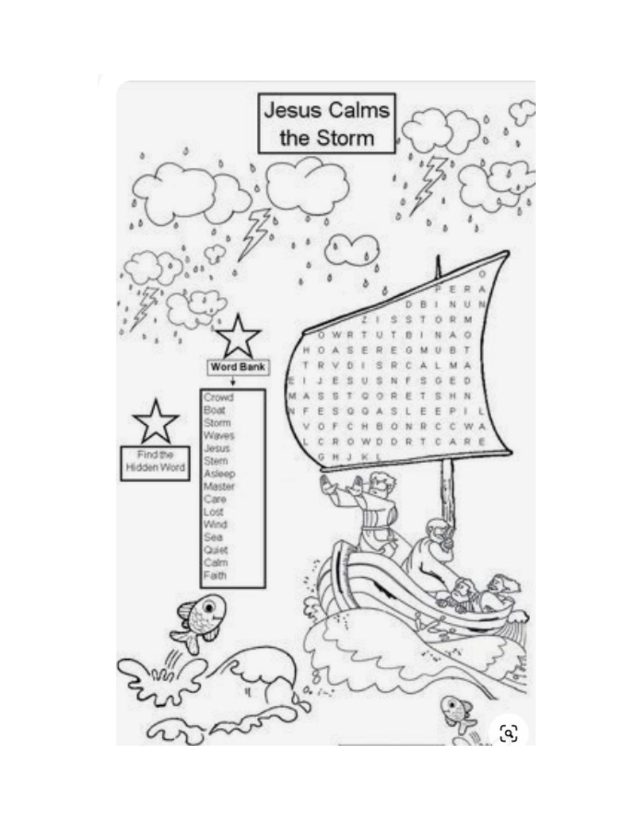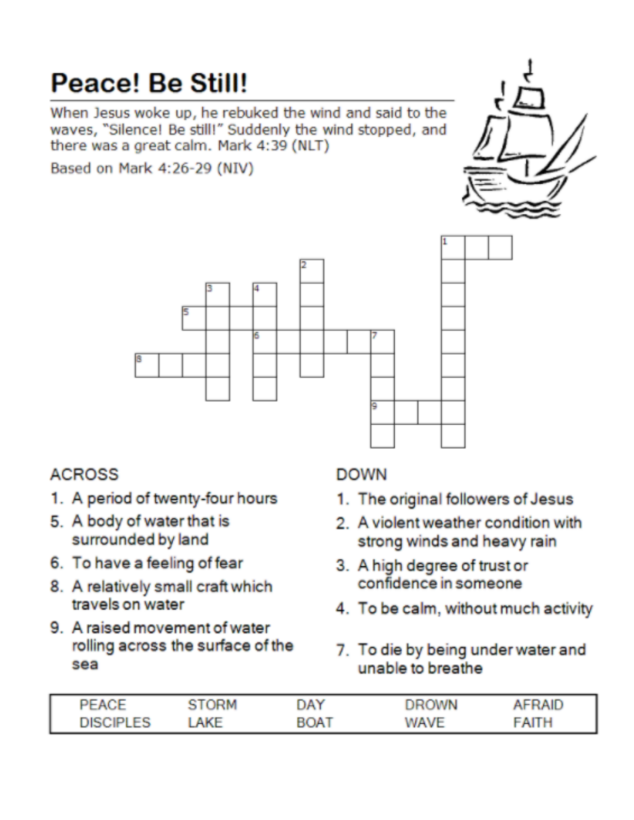# Peace! Be Still!

When Jesus woke up, he rebuked the wind and said to the waves, "Silence! Be still!" Suddenly the wind stopped, and there was a great calm. Mark 4:39 (NLT)

Based on Mark 4:26-29 (NIV)





## **ACROSS**

- 1. A period of twenty-four hours
- 5. A body of water that is surrounded by land
- 6. To have a feeling of fear
- 8. A relatively small craft which travels on water
- 9. A raised movement of water rolling across the surface of the sea

### **DOWN**

- 1. The original followers of Jesus
- 2. A violent weather condition with strong winds and heavy rain
- 3. A high degree of trust or confidence in someone
- 4. To be calm, without much activity
- 7. To die by being under water and unable to breathe

| <b>PEACE</b>     | STORM | DAY         | DROWN | AFRAID |
|------------------|-------|-------------|-------|--------|
| <b>DISCIPLES</b> | AKF   | <b>BOAT</b> | WAVE  | FAITH  |